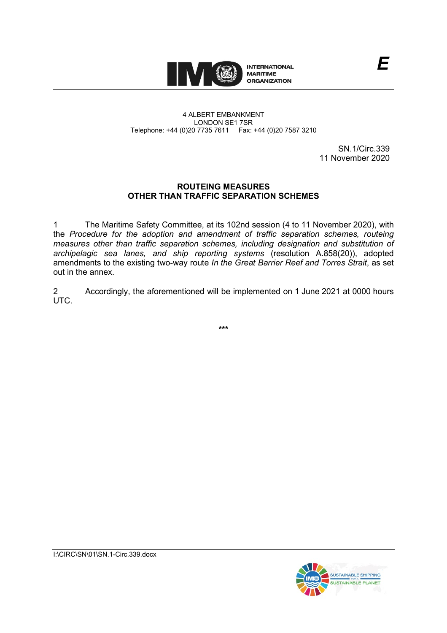

#### 4 ALBERT EMBANKMENT LONDON SE1 7SR Telephone: +44 (0)20 7735 7611 Fax: +44 (0)20 7587 3210

SN.1/Circ.339 11 November 2020

*E*

# **ROUTEING MEASURES OTHER THAN TRAFFIC SEPARATION SCHEMES**

1 The Maritime Safety Committee, at its 102nd session (4 to 11 November 2020), with the *Procedure for the adoption and amendment of traffic separation schemes, routeing measures other than traffic separation schemes, including designation and substitution of archipelagic sea lanes, and ship reporting systems* (resolution A.858(20)), adopted amendments to the existing two-way route *In the Great Barrier Reef and Torres Strait*, as set out in the annex.

2 Accordingly, the aforementioned will be implemented on 1 June 2021 at 0000 hours UTC.

**\*\*\***



I:\CIRC\SN\01\SN.1-Circ.339.docx